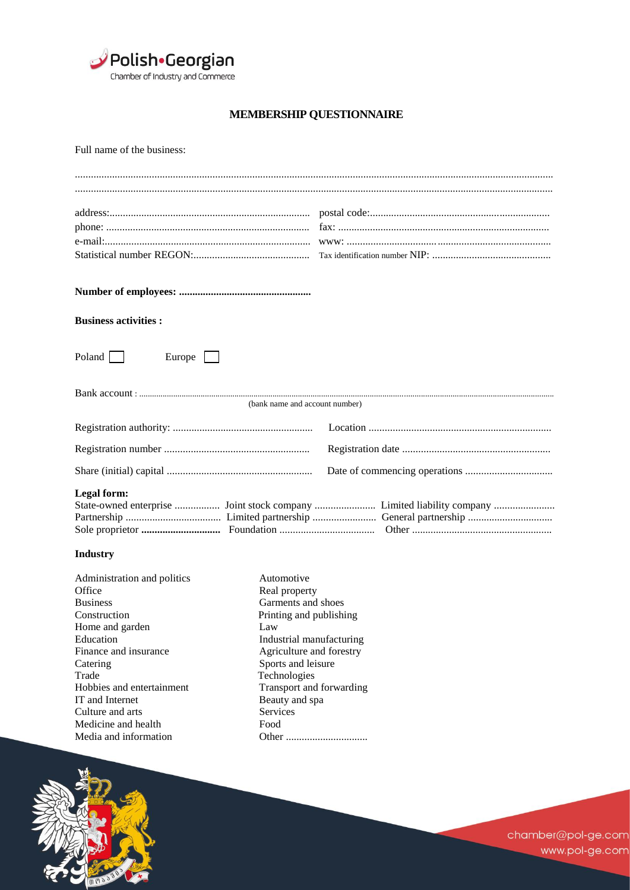

### **MEMBERSHIP QUESTIONNAIRE**

Full name of the business:

#### **Business activities :**

Poland **Europe Europe** 

| (bank name and account number) |  |  |  |  |  |  |
|--------------------------------|--|--|--|--|--|--|
|                                |  |  |  |  |  |  |
|                                |  |  |  |  |  |  |
|                                |  |  |  |  |  |  |
| Legal form:                    |  |  |  |  |  |  |
|                                |  |  |  |  |  |  |
|                                |  |  |  |  |  |  |

# Sole proprietor **..............................** Foundation ....................................Other .....................................................

#### **Industry**

| Administration and politics | Automotive               |
|-----------------------------|--------------------------|
| Office                      | Real property            |
| <b>Business</b>             | Garments and shoes       |
| Construction                | Printing and publishing  |
| Home and garden             | Law                      |
| Education                   | Industrial manufacturing |
| Finance and insurance       | Agriculture and forestry |
| Catering                    | Sports and leisure       |
| Trade                       | Technologies             |
| Hobbies and entertainment   | Transport and forwarding |
| IT and Internet             | Beauty and spa           |
| Culture and arts            | <b>Services</b>          |
| Medicine and health         | Food                     |
| Media and information       | Other                    |
|                             |                          |